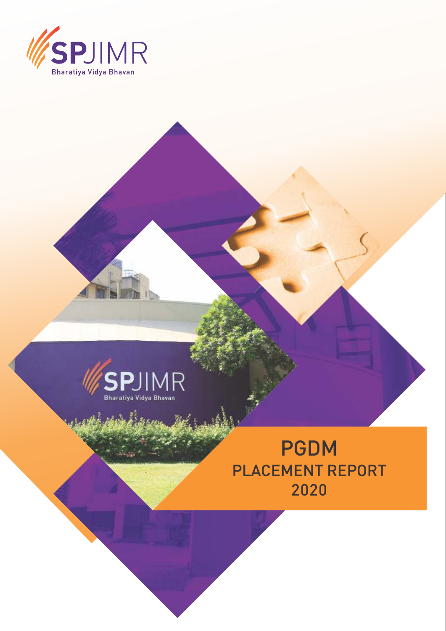



 $\Delta v_{\rm crit}$ 

al<br>Alassan

# PGDM PLACEMENT REPORT 2020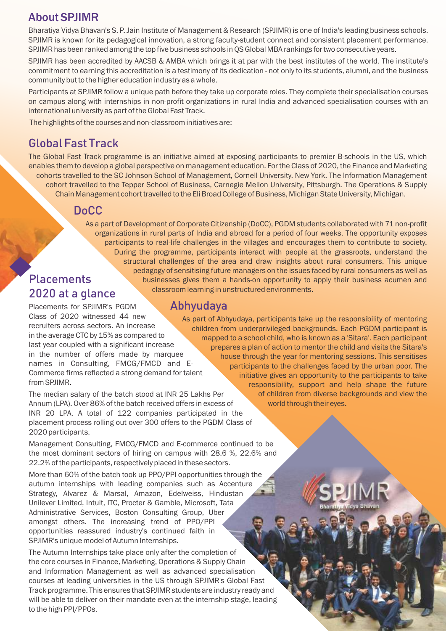### About SPJIMR

Bharatiya Vidya Bhavan's S. P. Jain Institute of Management & Research (SPJIMR) is one of India's leading business schools. SPJIMR is known for its pedagogical innovation, a strong faculty-student connect and consistent placement performance. SPJIMR has been ranked among the top five business schools in QS Global MBA rankings for two consecutive years.

SPJIMR has been accredited by AACSB & AMBA which brings it at par with the best institutes of the world. The institute's commitment to earning this accreditation is a testimony of its dedication - not only to its students, alumni, and the business community but to the higher education industry as a whole.

Participants at SPJIMR follow a unique path before they take up corporate roles. They complete their specialisation courses on campus along with internships in non-profit organizations in rural India and advanced specialisation courses with an international university as part of the Global Fast Track.

The highlights of the courses and non-classroom initiatives are:

# Global Fast Track

The Global Fast Track programme is an initiative aimed at exposing participants to premier B-schools in the US, which enables them to develop a global perspective on management education. For the Class of 2020, the Finance and Marketing cohorts travelled to the SC Johnson School of Management, Cornell University, New York. The Information Management cohort travelled to the Tepper School of Business, Carnegie Mellon University, Pittsburgh. The Operations & Supply Chain Management cohort travelled to the Eli Broad College of Business, Michigan State University, Michigan.

### DoCC

As a part of Development of Corporate Citizenship (DoCC), PGDM students collaborated with 71 non-profit organizations in rural parts of India and abroad for a period of four weeks. The opportunity exposes participants to real-life challenges in the villages and encourages them to contribute to society. During the programme, participants interact with people at the grassroots, understand the structural challenges of the area and draw insights about rural consumers. This unique pedagogy of sensitising future managers on the issues faced by rural consumers as well as businesses gives them a hands-on opportunity to apply their business acumen and classroom learning in unstructured environments.

# **Placements** 2020 at a glance

Placements for SPJIMR's PGDM Class of 2020 witnessed 44 new recruiters across sectors. An increase in the average CTC by 15% as compared to last year coupled with a significant increase in the number of offers made by marquee names in Consulting, FMCG/FMCD and E-Commerce firms reflected a strong demand for talent from SPJIMR.

The median salary of the batch stood at INR 25 Lakhs Per Annum (LPA). Over 86% of the batch received offers in excess of INR 20 LPA. A total of 122 companies participated in the placement process rolling out over 300 offers to the PGDM Class of 2020 participants.

Management Consulting, FMCG/FMCD and E-commerce continued to be the most dominant sectors of hiring on campus with 28.6 %, 22.6% and 22.2% of the participants, respectively placed in these sectors.

More than 60% of the batch took up PPO/PPI opportunities through the autumn internships with leading companies such as Accenture Strategy, Alvarez & Marsal, Amazon, Edelweiss, Hindustan Unilever Limited, Intuit, ITC, Procter & Gamble, Microsoft, Tata Administrative Services, Boston Consulting Group, Uber amongst others. The increasing trend of PPO/PPI opportunities reassured industry's continued faith in SPJIMR's unique model of Autumn Internships.

The Autumn Internships take place only after the completion of the core courses in Finance, Marketing, Operations & Supply Chain and Information Management as well as advanced specialisation courses at leading universities in the US through SPJIMR's Global Fast Track programme. This ensures that SPJIMR students are industry ready and will be able to deliver on their mandate even at the internship stage, leading to the high PPI/PPOs.

Abhyudaya

As part of Abhyudaya, participants take up the responsibility of mentoring children from underprivileged backgrounds. Each PGDM participant is mapped to a school child, who is known as a 'Sitara'. Each participant prepares a plan of action to mentor the child and visits the Sitara's house through the year for mentoring sessions. This sensitises participants to the challenges faced by the urban poor. The initiative gives an opportunity to the participants to take responsibility, support and help shape the future of children from diverse backgrounds and view the world through their eyes.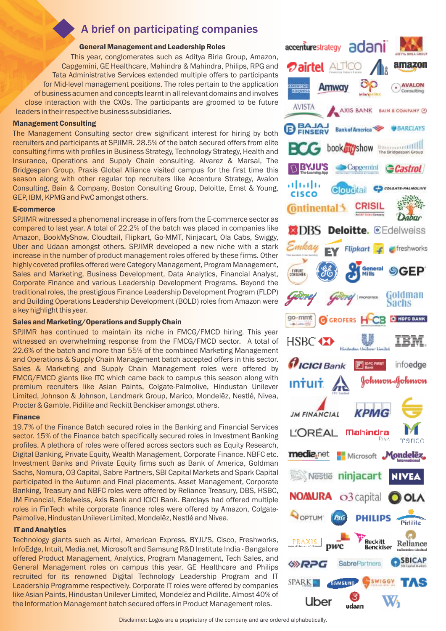# A brief on participating companies

#### General Management and Leadership Roles

This year, conglomerates such as Aditya Birla Group, Amazon, Capgemini, GE Healthcare, Mahindra & Mahindra, Philips, RPG and Tata Administrative Services extended multiple offers to participants for Mid-level management positions. The roles pertain to the application of business acumen and concepts learnt in all relevant domains and involves close interaction with the CXOs. The participants are groomed to be future leaders in their respective business subsidiaries.

#### Management Consulting

The Management Consulting sector drew significant interest for hiring by both recruiters and participants at SPJIMR. 28.5% of the batch secured offers from elite consulting firms with profiles in Business Strategy, Technology Strategy, Health and Insurance, Operations and Supply Chain consulting. Alvarez & Marsal, The Bridgespan Group, Praxis Global Alliance visited campus for the first time this season along with other regular top recruiters like Accenture Strategy, Avalon Consulting, Bain & Company, Boston Consulting Group, Deloitte, Ernst & Young, GEP, IBM, KPMG and PwC amongst others.

#### E-commerce

SPJIMR witnessed a phenomenal increase in offers from the E-commerce sector as compared to last year. A total of 22.2% of the batch was placed in companies like Amazon, BookMyShow, Cloudtail, Flipkart, Go-MMT, Ninjacart, Ola Cabs, Swiggy, Uber and Udaan amongst others. SPJIMR developed a new niche with a stark increase in the number of product management roles offered by these firms. Other highly coveted profiles offered were Category Management, Program Management, Sales and Marketing, Business Development, Data Analytics, Financial Analyst, Corporate Finance and various Leadership Development Programs. Beyond the traditional roles, the prestigious Finance Leadership Development Program (FLDP) and Building Operations Leadership Development (BOLD) roles from Amazon were a key highlight this year.

#### Sales and Marketing/Operations and Supply Chain

SPJIMR has continued to maintain its niche in FMCG/FMCD hiring. This year witnessed an overwhelming response from the FMCG/FMCD sector. A total of 22.6% of the batch and more than 55% of the combined Marketing Management and Operations & Supply Chain Management batch accepted offers in this sector. Sales & Marketing and Supply Chain Management roles were offered by FMCG/FMCD giants like ITC which came back to campus this season along with premium recruiters like Asian Paints, Colgate-Palmolive, Hindustan Unilever Limited, Johnson & Johnson, Landmark Group, Marico, Mondelēz, Nestlé, Nivea, Procter & Gamble, Pidilite and Reckitt Benckiser amongst others.

#### Finance

19.7% of the Finance Batch secured roles in the Banking and Financial Services sector. 15% of the Finance batch specifically secured roles in Investment Banking profiles. A plethora of roles were offered across sectors such as Equity Research, Digital Banking, Private Equity, Wealth Management, Corporate Finance, NBFC etc. Investment Banks and Private Equity firms such as Bank of America, Goldman Sachs, Nomura, O3 Capital, Sabre Partners, SBI Capital Markets and Spark Capital participated in the Autumn and Final placements. Asset Management, Corporate Banking, Treasury and NBFC roles were offered by Reliance Treasury, DBS, HSBC, JM Financial, Edelweiss, Axis Bank and ICICI Bank. Barclays had offered multiple roles in FinTech while corporate finance roles were offered by Amazon, Colgate-Palmolive, Hindustan Unilever Limited, Mondelēz, Nestlé and Nivea.

#### IT and Analytics

Technology giants such as Airtel, American Express, BYJU'S, Cisco, Freshworks, InfoEdge, Intuit, Media.net, Microsoft and Samsung R&D Institute India - Bangalore offered Product Management, Analytics, Program Management, Tech Sales, and General Management roles on campus this year. GE Healthcare and Philips recruited for its renowned Digital Technology Leadership Program and IT Leadership Programme respectively. Corporate IT roles were offered by companies like Asian Paints, Hindustan Unilever Limited, Mondelēz and Pidilite. Almost 40% of the Information Management batch secured offers in Product Management roles.